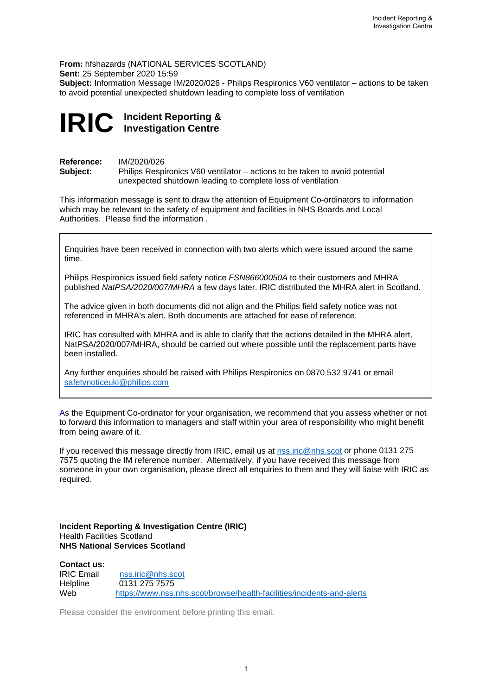**From:** hfshazards (NATIONAL SERVICES SCOTLAND) **Sent:** 25 September 2020 15:59 **Subject:** Information Message IM/2020/026 - Philips Respironics V60 ventilator – actions to be taken to avoid potential unexpected shutdown leading to complete loss of ventilation

## **IRIC Incident Reporting & Investigation Centre**

**Reference:** IM/2020/026<br> **Subject:** Philips Respi Philips Respironics V60 ventilator – actions to be taken to avoid potential unexpected shutdown leading to complete loss of ventilation

This information message is sent to draw the attention of Equipment Co-ordinators to information which may be relevant to the safety of equipment and facilities in NHS Boards and Local Authorities. Please find the information .

Enquiries have been received in connection with two alerts which were issued around the same time.

Philips Respironics issued field safety notice *FSN86600050A* to their customers and MHRA published *NatPSA/2020/007/MHRA* a few days later. IRIC distributed the MHRA alert in Scotland.

The advice given in both documents did not align and the Philips field safety notice was not referenced in MHRA's alert. Both documents are attached for ease of reference.

IRIC has consulted with MHRA and is able to clarify that the actions detailed in the MHRA alert, NatPSA/2020/007/MHRA, should be carried out where possible until the replacement parts have been installed.

Any further enquiries should be raised with Philips Respironics on 0870 532 9741 or email [safetynoticeuki@philips.com](mailto:safetynoticeuki@philips.com) 

As the Equipment Co-ordinator for your organisation, we recommend that you assess whether or not to forward this information to managers and staff within your area of responsibility who might benefit from being aware of it.

If you received this message directly from IRIC, email us at **nss.iric@nhs.scot** or phone 0131 275 7575 quoting the IM reference number.Alternatively, if you have received this message from someone in your own organisation, please direct all enquiries to them and they will liaise with IRIC as required.

**Incident Reporting & Investigation Centre (IRIC)** Health Facilities Scotland **NHS National Services Scotland**

**Contact us:** [nss.iric@nhs.scot](mailto:nss.iric@nhs.scot) Helpline 0131 275 7575 Web <https://www.nss.nhs.scot/browse/health-facilities/incidents-and-alerts>

Please consider the environment before printing this email.